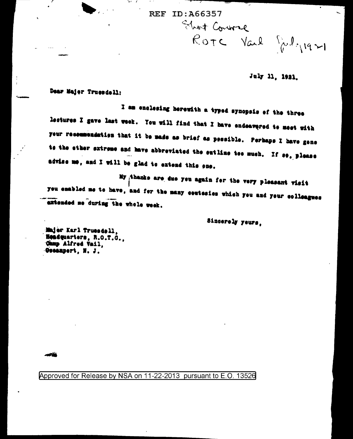**REF ID:A66357** 

Eliot Course ROTE Vail Portion

July 11, 1921.

Dear Majer Truesdell:

I am enclosing herewith a typed synopsis of the three lectures I gave last week. You will find that I have endeavered to meet with your recommendation that it be made as brief as pessible. Perhaps I have gene ts the ether extreme and have abbreviated the entline tee much. If se, please advise me, and I will be glad to extend this one.

My thanks are due you again for the very pleasant visit you enabled me to have, and for the many coutesies which you and your colleagues extended ne during the whole week.

Sincerely yeurs.

Majer Karl Truesdell. Headquarters, R.O.T.O., Ohmp Alfred Vail, Geeanpert, N. J.

مقاسد

Approved for Release by NSA on 11-22-2013 pursuant to E.O. 13526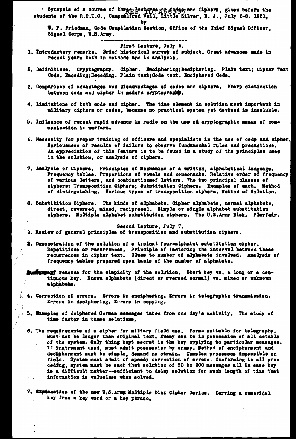Synopsis of a course of three-hoctupes pog Sades, and Ciphers, given before the students of the R.O.T.C., Campmalified Vail, Little Silver, N. J., July 6-8. 1921,

bv

W. F. Friedman, Code Compilation Section, Office of the Chief Bignal Officer. Signal Corps. U.S.Army. فالمت فالتقامات فالترضيف فالتربات والمترف

## First Lecture, July 6.

- 1. Introductory remarks. Brief historical survet of subject. Great advances made in recent years both in methods and in analysis.
- 2. Definitions. Cryptography. Cipher. Enciphering; Deciphering. Plain text; Cipher Text. Code. Encoding; Decoding. Plain text; Code text. Enciphered Code.
- 3. Comparison of advantages and disadvantages of codes and ciphers. Sharp distinction between code and cipher in madern cryptegraphy.
- 4. Limitations of both code and cipher. The time element in solution most important in military ciphers or codes, because no practical system yet devised is insoluble.
- 5. Influence of recent rapid advance in radio on the use of cryptographic means of communication in warfare.
- 6. Necessity for proper training of officers and specialists in the use of code and cipher. Seriousness of results of failure to observe fundamental rules and precautions. An appreciation of this feature is to be found in a study of the principles used in the solution, or analysis of ciphers.
- 7. Analysis of Ciphers. Principles of Mechanism of a written, alphabetical language. Frequency tables. Proportions of vowels and consonants. Relative order of frequency of various letters, and combinations of letters. The two principal classes of ciphers: Transposition Ciphers; Substitution Ciphers. Examples of each. Method of distinguishing. Various types of transposition ciphers. Method of Solution.
- 8. Substitition Ciphers. The kinds of alphabets. Cipher alphabets, normal alphabets, direct, reversed, mixed, reciprocal. Simple or single alphabet substitution ciphers. Multiple alphabet substitution ciphers. The U.S.Army Disk. Playfair.

Second Lecture, July 7. 1. Review of general principles of transposition and substitution ciphers.

2. Demonstration of the solution of a typical four-alphabet substitution cipher. Repetitions or recurrences. Principle of factoring the interval between these recurrences in cipher text. Glues to number of alphabets involved. Analysis of frequency tables prepared upon basis of the number of alphabets.

- Audiencial reasons for the simpicity of the solution. Short key vs. a long or a continuous key. Known alphabets (direct or rversed normal) vs. mixed or unknown alphabets.
- $\mu$  4. Correction of errors. Errors in enciphering. Errors in telegraphic transmission. Errore in deciphering. Errors in copying.

 $f^{\frac{2}{3}}$ 

- 5. Examples of deiphered German measages taken from one day's activity. The study of time factor in these solutions.
	- 6. The requirements of a cipher for miltary field use. Form- suitable for telegraphy. Must not be longer than original text. Enemy can be in possession of all details ŧ, of the system. Only thing kept secret is the key applying to particular measages. If instrument used, must admit possession by enemy. Method of encipherment and decipherment must be simple, demand no strain. Complex processes impossible on field. System must admit of speedy correction of errors. Conforming to all preceding, system must be such that solution of 50 to 200 messages all in same key is a difficult matter--sufficient to delay solution for such length of time that  $\sim 1$ information is valueless when solved.  $\mathcal{L}_{\mathcal{A}_{\mathcal{A}}}$
	- 7. Expérantion of the new U.S.Army Multiple Disk Cipher Device. Derving a numerical key from a key word or a key phrase.